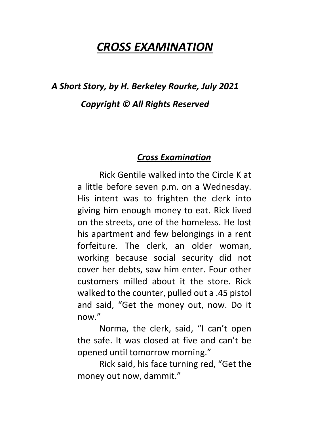## *CROSS EXAMINATION*

## *A Short Story, by H. Berkeley Rourke, July 2021 Copyright © All Rights Reserved*

## *Cross Examination*

 Rick Gentile walked into the Circle K at a little before seven p.m. on a Wednesday. His intent was to frighten the clerk into giving him enough money to eat. Rick lived on the streets, one of the homeless. He lost his apartment and few belongings in a rent forfeiture. The clerk, an older woman, working because social security did not cover her debts, saw him enter. Four other customers milled about it the store. Rick walked to the counter, pulled out a .45 pistol and said, "Get the money out, now. Do it now."

 Norma, the clerk, said, "I can't open the safe. It was closed at five and can't be opened until tomorrow morning."

 Rick said, his face turning red, "Get the money out now, dammit."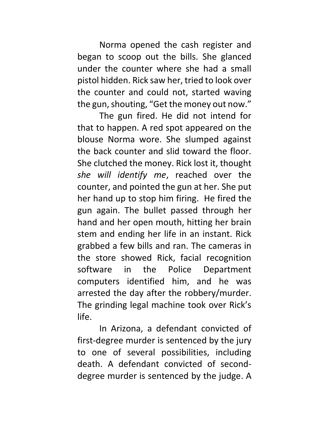Norma opened the cash register and began to scoop out the bills. She glanced under the counter where she had a small pistol hidden. Rick saw her, tried to look over the counter and could not, started waving the gun, shouting, "Get the money out now."

 The gun fired. He did not intend for that to happen. A red spot appeared on the blouse Norma wore. She slumped against the back counter and slid toward the floor. She clutched the money. Rick lost it, thought *she will identify me*, reached over the counter, and pointed the gun at her. She put her hand up to stop him firing. He fired the gun again. The bullet passed through her hand and her open mouth, hitting her brain stem and ending her life in an instant. Rick grabbed a few bills and ran. The cameras in the store showed Rick, facial recognition software in the Police Department computers identified him, and he was arrested the day after the robbery/murder. The grinding legal machine took over Rick's life.

 In Arizona, a defendant convicted of first-degree murder is sentenced by the jury to one of several possibilities, including death. A defendant convicted of seconddegree murder is sentenced by the judge. A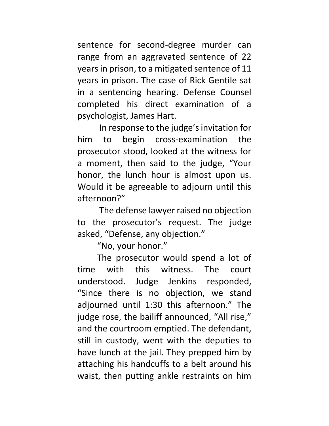sentence for second-degree murder can range from an aggravated sentence of 22 years in prison, to a mitigated sentence of 11 years in prison. The case of Rick Gentile sat in a sentencing hearing. Defense Counsel completed his direct examination of a psychologist, James Hart.

 In response to the judge's invitation for him to begin cross-examination the prosecutor stood, looked at the witness for a moment, then said to the judge, "Your honor, the lunch hour is almost upon us. Would it be agreeable to adjourn until this afternoon?"

 The defense lawyer raised no objection to the prosecutor's request. The judge asked, "Defense, any objection."

"No, your honor."

 The prosecutor would spend a lot of time with this witness. The court understood. Judge Jenkins responded, "Since there is no objection, we stand adjourned until 1:30 this afternoon." The judge rose, the bailiff announced, "All rise," and the courtroom emptied. The defendant, still in custody, went with the deputies to have lunch at the jail. They prepped him by attaching his handcuffs to a belt around his waist, then putting ankle restraints on him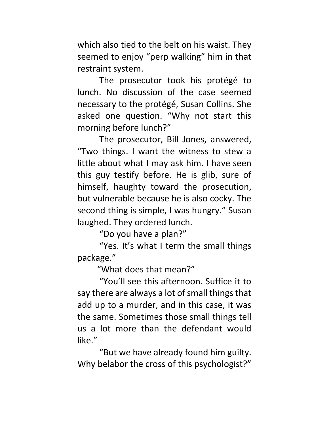which also tied to the belt on his waist. They seemed to enjoy "perp walking" him in that restraint system.

 The prosecutor took his protégé to lunch. No discussion of the case seemed necessary to the protégé, Susan Collins. She asked one question. "Why not start this morning before lunch?"

 The prosecutor, Bill Jones, answered, "Two things. I want the witness to stew a little about what I may ask him. I have seen this guy testify before. He is glib, sure of himself, haughty toward the prosecution, but vulnerable because he is also cocky. The second thing is simple, I was hungry." Susan laughed. They ordered lunch.

"Do you have a plan?"

 "Yes. It's what I term the small things package."

"What does that mean?"

 "You'll see this afternoon. Suffice it to say there are always a lot of small things that add up to a murder, and in this case, it was the same. Sometimes those small things tell us a lot more than the defendant would like."

 "But we have already found him guilty. Why belabor the cross of this psychologist?"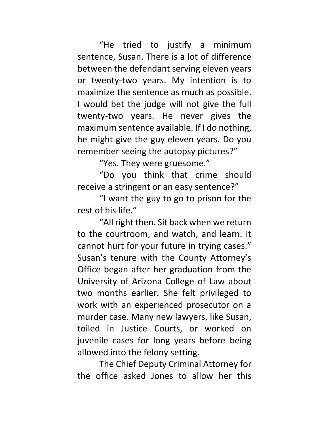"He tried to justify a minimum sentence, Susan. There is a lot of difference between the defendant serving eleven years or twenty-two years. My intention is to maximize the sentence as much as possible. I would bet the judge will not give the full twenty-two years. He never gives the maximum sentence available. If I do nothing, he might give the guy eleven years. Do you remember seeing the autopsy pictures?"

"Yes. They were gruesome."

 "Do you think that crime should receive a stringent or an easy sentence?"

 "I want the guy to go to prison for the rest of his life."

 "All right then. Sit back when we return to the courtroom, and watch, and learn. It cannot hurt for your future in trying cases." Susan's tenure with the County Attorney's Office began after her graduation from the University of Arizona College of Law about two months earlier. She felt privileged to work with an experienced prosecutor on a murder case. Many new lawyers, like Susan, toiled in Justice Courts, or worked on juvenile cases for long years before being allowed into the felony setting.

 The Chief Deputy Criminal Attorney for the office asked Jones to allow her this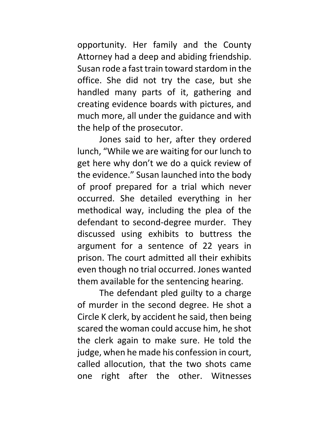opportunity. Her family and the County Attorney had a deep and abiding friendship. Susan rode a fast train toward stardom in the office. She did not try the case, but she handled many parts of it, gathering and creating evidence boards with pictures, and much more, all under the guidance and with the help of the prosecutor.

 Jones said to her, after they ordered lunch, "While we are waiting for our lunch to get here why don't we do a quick review of the evidence." Susan launched into the body of proof prepared for a trial which never occurred. She detailed everything in her methodical way, including the plea of the defendant to second-degree murder. They discussed using exhibits to buttress the argument for a sentence of 22 years in prison. The court admitted all their exhibits even though no trial occurred. Jones wanted them available for the sentencing hearing.

 The defendant pled guilty to a charge of murder in the second degree. He shot a Circle K clerk, by accident he said, then being scared the woman could accuse him, he shot the clerk again to make sure. He told the judge, when he made his confession in court, called allocution, that the two shots came one right after the other. Witnesses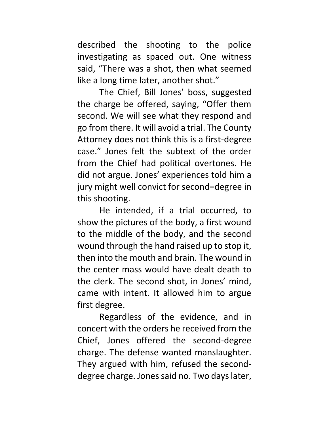described the shooting to the police investigating as spaced out. One witness said, "There was a shot, then what seemed like a long time later, another shot."

 The Chief, Bill Jones' boss, suggested the charge be offered, saying, "Offer them second. We will see what they respond and go from there. It will avoid a trial. The County Attorney does not think this is a first-degree case." Jones felt the subtext of the order from the Chief had political overtones. He did not argue. Jones' experiences told him a jury might well convict for second=degree in this shooting.

 He intended, if a trial occurred, to show the pictures of the body, a first wound to the middle of the body, and the second wound through the hand raised up to stop it, then into the mouth and brain. The wound in the center mass would have dealt death to the clerk. The second shot, in Jones' mind, came with intent. It allowed him to argue first degree.

 Regardless of the evidence, and in concert with the orders he received from the Chief, Jones offered the second-degree charge. The defense wanted manslaughter. They argued with him, refused the seconddegree charge. Jones said no. Two days later,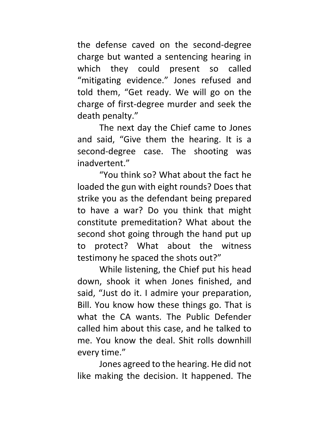the defense caved on the second-degree charge but wanted a sentencing hearing in which they could present so called "mitigating evidence." Jones refused and told them, "Get ready. We will go on the charge of first-degree murder and seek the death penalty."

 The next day the Chief came to Jones and said, "Give them the hearing. It is a second-degree case. The shooting was inadvertent."

 "You think so? What about the fact he loaded the gun with eight rounds? Does that strike you as the defendant being prepared to have a war? Do you think that might constitute premeditation? What about the second shot going through the hand put up to protect? What about the witness testimony he spaced the shots out?"

 While listening, the Chief put his head down, shook it when Jones finished, and said, "Just do it. I admire your preparation, Bill. You know how these things go. That is what the CA wants. The Public Defender called him about this case, and he talked to me. You know the deal. Shit rolls downhill every time."

 Jones agreed to the hearing. He did not like making the decision. It happened. The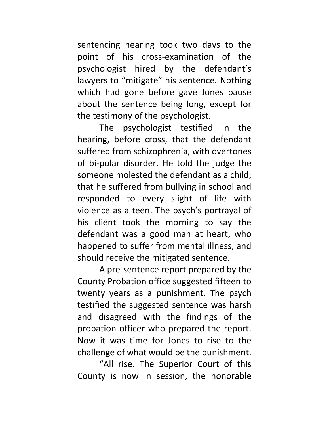sentencing hearing took two days to the point of his cross-examination of the psychologist hired by the defendant's lawyers to "mitigate" his sentence. Nothing which had gone before gave Jones pause about the sentence being long, except for the testimony of the psychologist.

 The psychologist testified in the hearing, before cross, that the defendant suffered from schizophrenia, with overtones of bi-polar disorder. He told the judge the someone molested the defendant as a child; that he suffered from bullying in school and responded to every slight of life with violence as a teen. The psych's portrayal of his client took the morning to say the defendant was a good man at heart, who happened to suffer from mental illness, and should receive the mitigated sentence.

 A pre-sentence report prepared by the County Probation office suggested fifteen to twenty years as a punishment. The psych testified the suggested sentence was harsh and disagreed with the findings of the probation officer who prepared the report. Now it was time for Jones to rise to the challenge of what would be the punishment.

 "All rise. The Superior Court of this County is now in session, the honorable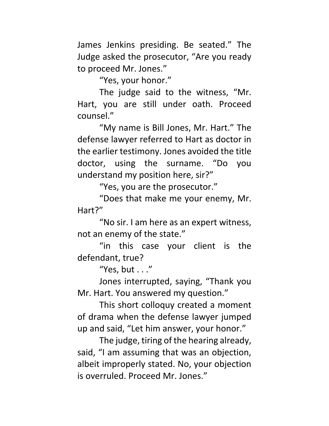James Jenkins presiding. Be seated." The Judge asked the prosecutor, "Are you ready to proceed Mr. Jones."

"Yes, your honor."

 The judge said to the witness, "Mr. Hart, you are still under oath. Proceed counsel."

 "My name is Bill Jones, Mr. Hart." The defense lawyer referred to Hart as doctor in the earlier testimony. Jones avoided the title doctor, using the surname. "Do you understand my position here, sir?"

"Yes, you are the prosecutor."

 "Does that make me your enemy, Mr. Hart?"

 "No sir. I am here as an expert witness, not an enemy of the state."

 "in this case your client is the defendant, true?

"Yes, but . . ."

 Jones interrupted, saying, "Thank you Mr. Hart. You answered my question."

 This short colloquy created a moment of drama when the defense lawyer jumped up and said, "Let him answer, your honor."

 The judge, tiring of the hearing already, said, "I am assuming that was an objection, albeit improperly stated. No, your objection is overruled. Proceed Mr. Jones."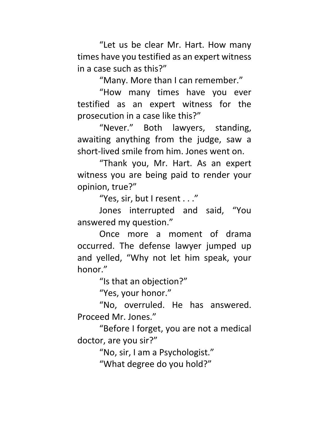"Let us be clear Mr. Hart. How many times have you testified as an expert witness in a case such as this?"

"Many. More than I can remember."

 "How many times have you ever testified as an expert witness for the prosecution in a case like this?"

 "Never." Both lawyers, standing, awaiting anything from the judge, saw a short-lived smile from him. Jones went on.

 "Thank you, Mr. Hart. As an expert witness you are being paid to render your opinion, true?"

"Yes, sir, but I resent . . ."

 Jones interrupted and said, "You answered my question."

 Once more a moment of drama occurred. The defense lawyer jumped up and yelled, "Why not let him speak, your honor."

"Is that an objection?"

"Yes, your honor."

 "No, overruled. He has answered. Proceed Mr. Jones."

 "Before I forget, you are not a medical doctor, are you sir?"

"No, sir, I am a Psychologist."

"What degree do you hold?"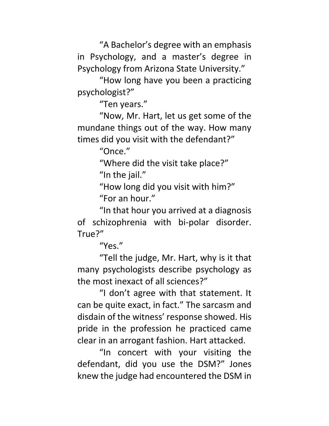"A Bachelor's degree with an emphasis in Psychology, and a master's degree in Psychology from Arizona State University."

 "How long have you been a practicing psychologist?"

"Ten years."

 "Now, Mr. Hart, let us get some of the mundane things out of the way. How many times did you visit with the defendant?"

"Once."

 "Where did the visit take place?" "In the jail."

 "How long did you visit with him?" "For an hour."

 "In that hour you arrived at a diagnosis of schizophrenia with bi-polar disorder. True?"

"Yes."

 "Tell the judge, Mr. Hart, why is it that many psychologists describe psychology as the most inexact of all sciences?"

 "I don't agree with that statement. It can be quite exact, in fact." The sarcasm and disdain of the witness' response showed. His pride in the profession he practiced came clear in an arrogant fashion. Hart attacked.

 "In concert with your visiting the defendant, did you use the DSM?" Jones knew the judge had encountered the DSM in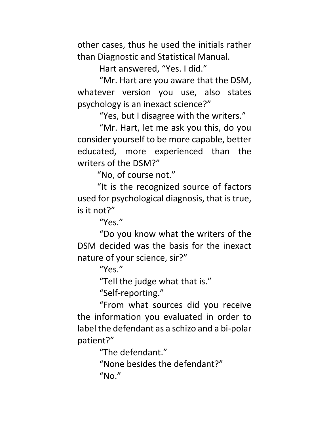other cases, thus he used the initials rather than Diagnostic and Statistical Manual.

Hart answered, "Yes. I did."

 "Mr. Hart are you aware that the DSM, whatever version you use, also states psychology is an inexact science?"

"Yes, but I disagree with the writers."

 "Mr. Hart, let me ask you this, do you consider yourself to be more capable, better educated, more experienced than the writers of the DSM?"

"No, of course not."

 "It is the recognized source of factors used for psychological diagnosis, that is true, is it not?"

"Yes."

 "Do you know what the writers of the DSM decided was the basis for the inexact nature of your science, sir?"

"Yes."

"Tell the judge what that is."

"Self-reporting."

 "From what sources did you receive the information you evaluated in order to label the defendant as a schizo and a bi-polar patient?"

"The defendant."

 "None besides the defendant?"  $''$ No."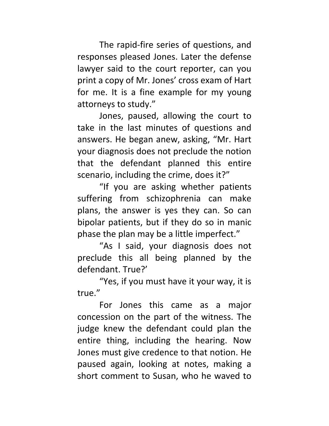The rapid-fire series of questions, and responses pleased Jones. Later the defense lawyer said to the court reporter, can you print a copy of Mr. Jones' cross exam of Hart for me. It is a fine example for my young attorneys to study."

 Jones, paused, allowing the court to take in the last minutes of questions and answers. He began anew, asking, "Mr. Hart your diagnosis does not preclude the notion that the defendant planned this entire scenario, including the crime, does it?"

 "If you are asking whether patients suffering from schizophrenia can make plans, the answer is yes they can. So can bipolar patients, but if they do so in manic phase the plan may be a little imperfect."

 "As I said, your diagnosis does not preclude this all being planned by the defendant. True?'

 "Yes, if you must have it your way, it is true."

 For Jones this came as a major concession on the part of the witness. The judge knew the defendant could plan the entire thing, including the hearing. Now Jones must give credence to that notion. He paused again, looking at notes, making a short comment to Susan, who he waved to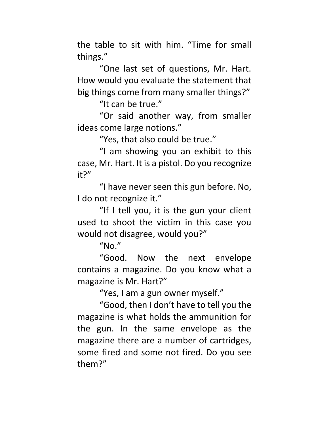the table to sit with him. "Time for small things."

 "One last set of questions, Mr. Hart. How would you evaluate the statement that big things come from many smaller things?"

"It can be true."

 "Or said another way, from smaller ideas come large notions."

"Yes, that also could be true."

 "I am showing you an exhibit to this case, Mr. Hart. It is a pistol. Do you recognize it?"

 "I have never seen this gun before. No, I do not recognize it."

 "If I tell you, it is the gun your client used to shoot the victim in this case you would not disagree, would you?"

 $"No."$ 

 "Good. Now the next envelope contains a magazine. Do you know what a magazine is Mr. Hart?"

"Yes, I am a gun owner myself."

 "Good, then I don't have to tell you the magazine is what holds the ammunition for the gun. In the same envelope as the magazine there are a number of cartridges, some fired and some not fired. Do you see them?"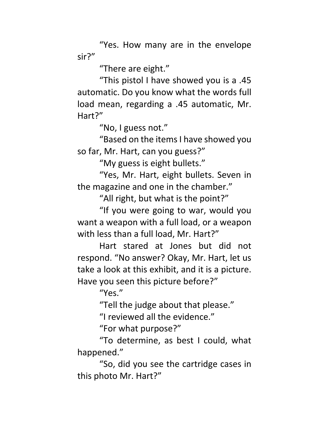"Yes. How many are in the envelope sir?"

"There are eight."

 "This pistol I have showed you is a .45 automatic. Do you know what the words full load mean, regarding a .45 automatic, Mr. Hart?"

"No, I guess not."

 "Based on the items I have showed you so far, Mr. Hart, can you guess?"

"My guess is eight bullets."

 "Yes, Mr. Hart, eight bullets. Seven in the magazine and one in the chamber."

"All right, but what is the point?"

 "If you were going to war, would you want a weapon with a full load, or a weapon with less than a full load, Mr. Hart?"

 Hart stared at Jones but did not respond. "No answer? Okay, Mr. Hart, let us take a look at this exhibit, and it is a picture. Have you seen this picture before?"

"Yes."

"Tell the judge about that please."

"I reviewed all the evidence."

"For what purpose?"

 "To determine, as best I could, what happened."

 "So, did you see the cartridge cases in this photo Mr. Hart?"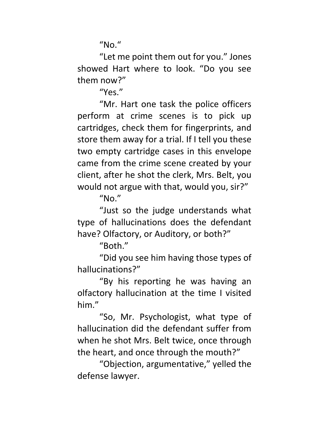$^{\prime\prime}$ No. $^{\prime\prime}$ 

 "Let me point them out for you." Jones showed Hart where to look. "Do you see them now?"

"Yes."

 "Mr. Hart one task the police officers perform at crime scenes is to pick up cartridges, check them for fingerprints, and store them away for a trial. If I tell you these two empty cartridge cases in this envelope came from the crime scene created by your client, after he shot the clerk, Mrs. Belt, you would not argue with that, would you, sir?"

 $''$ No."

 "Just so the judge understands what type of hallucinations does the defendant have? Olfactory, or Auditory, or both?"

"Both."

 "Did you see him having those types of hallucinations?"

 "By his reporting he was having an olfactory hallucination at the time I visited him."

 "So, Mr. Psychologist, what type of hallucination did the defendant suffer from when he shot Mrs. Belt twice, once through the heart, and once through the mouth?"

 "Objection, argumentative," yelled the defense lawyer.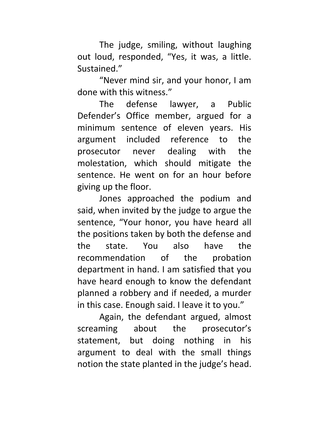The judge, smiling, without laughing out loud, responded, "Yes, it was, a little. Sustained."

 "Never mind sir, and your honor, I am done with this witness."

 The defense lawyer, a Public Defender's Office member, argued for a minimum sentence of eleven years. His argument included reference to the prosecutor never dealing with the molestation, which should mitigate the sentence. He went on for an hour before giving up the floor.

 Jones approached the podium and said, when invited by the judge to argue the sentence, "Your honor, you have heard all the positions taken by both the defense and the state. You also have the recommendation of the probation department in hand. I am satisfied that you have heard enough to know the defendant planned a robbery and if needed, a murder in this case. Enough said. I leave it to you."

 Again, the defendant argued, almost screaming about the prosecutor's statement, but doing nothing in his argument to deal with the small things notion the state planted in the judge's head.